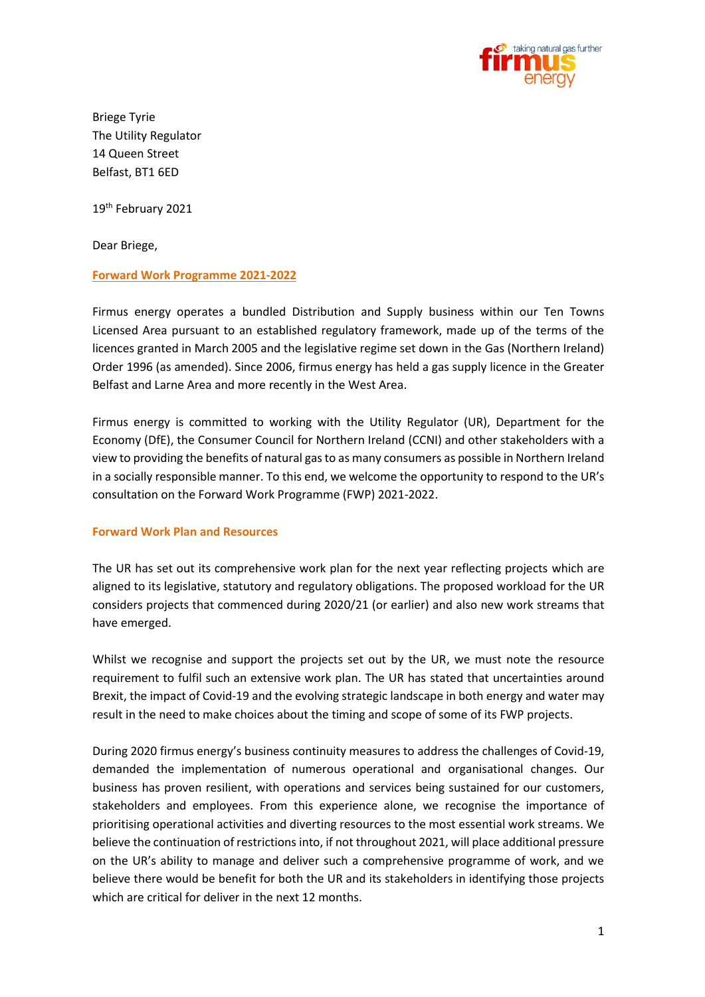

Briege Tyrie The Utility Regulator 14 Queen Street Belfast, BT1 6ED

19<sup>th</sup> February 2021

Dear Briege,

# **Forward Work Programme 2021-2022**

Firmus energy operates a bundled Distribution and Supply business within our Ten Towns Licensed Area pursuant to an established regulatory framework, made up of the terms of the licences granted in March 2005 and the legislative regime set down in the Gas (Northern Ireland) Order 1996 (as amended). Since 2006, firmus energy has held a gas supply licence in the Greater Belfast and Larne Area and more recently in the West Area.

Firmus energy is committed to working with the Utility Regulator (UR), Department for the Economy (DfE), the Consumer Council for Northern Ireland (CCNI) and other stakeholders with a view to providing the benefits of natural gas to as many consumers as possible in Northern Ireland in a socially responsible manner. To this end, we welcome the opportunity to respond to the UR's consultation on the Forward Work Programme (FWP) 2021-2022.

#### **Forward Work Plan and Resources**

The UR has set out its comprehensive work plan for the next year reflecting projects which are aligned to its legislative, statutory and regulatory obligations. The proposed workload for the UR considers projects that commenced during 2020/21 (or earlier) and also new work streams that have emerged.

Whilst we recognise and support the projects set out by the UR, we must note the resource requirement to fulfil such an extensive work plan. The UR has stated that uncertainties around Brexit, the impact of Covid-19 and the evolving strategic landscape in both energy and water may result in the need to make choices about the timing and scope of some of its FWP projects.

During 2020 firmus energy's business continuity measures to address the challenges of Covid-19, demanded the implementation of numerous operational and organisational changes. Our business has proven resilient, with operations and services being sustained for our customers, stakeholders and employees. From this experience alone, we recognise the importance of prioritising operational activities and diverting resources to the most essential work streams. We believe the continuation of restrictions into, if not throughout 2021, will place additional pressure on the UR's ability to manage and deliver such a comprehensive programme of work, and we believe there would be benefit for both the UR and its stakeholders in identifying those projects which are critical for deliver in the next 12 months.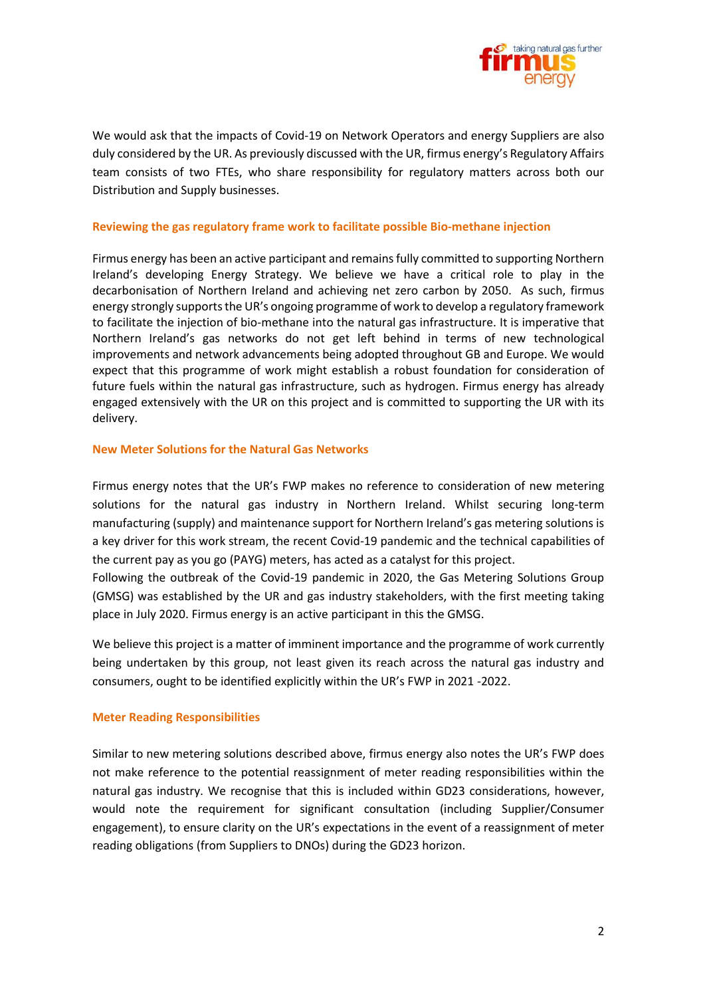

We would ask that the impacts of Covid-19 on Network Operators and energy Suppliers are also duly considered by the UR. As previously discussed with the UR, firmus energy's Regulatory Affairs team consists of two FTEs, who share responsibility for regulatory matters across both our Distribution and Supply businesses.

#### **Reviewing the gas regulatory frame work to facilitate possible Bio-methane injection**

Firmus energy has been an active participant and remains fully committed to supporting Northern Ireland's developing Energy Strategy. We believe we have a critical role to play in the decarbonisation of Northern Ireland and achieving net zero carbon by 2050. As such, firmus energy strongly supports the UR's ongoing programme of work to develop a regulatory framework to facilitate the injection of bio-methane into the natural gas infrastructure. It is imperative that Northern Ireland's gas networks do not get left behind in terms of new technological improvements and network advancements being adopted throughout GB and Europe. We would expect that this programme of work might establish a robust foundation for consideration of future fuels within the natural gas infrastructure, such as hydrogen. Firmus energy has already engaged extensively with the UR on this project and is committed to supporting the UR with its delivery.

### **New Meter Solutions for the Natural Gas Networks**

Firmus energy notes that the UR's FWP makes no reference to consideration of new metering solutions for the natural gas industry in Northern Ireland. Whilst securing long-term manufacturing (supply) and maintenance support for Northern Ireland's gas metering solutions is a key driver for this work stream, the recent Covid-19 pandemic and the technical capabilities of the current pay as you go (PAYG) meters, has acted as a catalyst for this project.

Following the outbreak of the Covid-19 pandemic in 2020, the Gas Metering Solutions Group (GMSG) was established by the UR and gas industry stakeholders, with the first meeting taking place in July 2020. Firmus energy is an active participant in this the GMSG.

We believe this project is a matter of imminent importance and the programme of work currently being undertaken by this group, not least given its reach across the natural gas industry and consumers, ought to be identified explicitly within the UR's FWP in 2021 -2022.

# **Meter Reading Responsibilities**

Similar to new metering solutions described above, firmus energy also notes the UR's FWP does not make reference to the potential reassignment of meter reading responsibilities within the natural gas industry. We recognise that this is included within GD23 considerations, however, would note the requirement for significant consultation (including Supplier/Consumer engagement), to ensure clarity on the UR's expectations in the event of a reassignment of meter reading obligations (from Suppliers to DNOs) during the GD23 horizon.